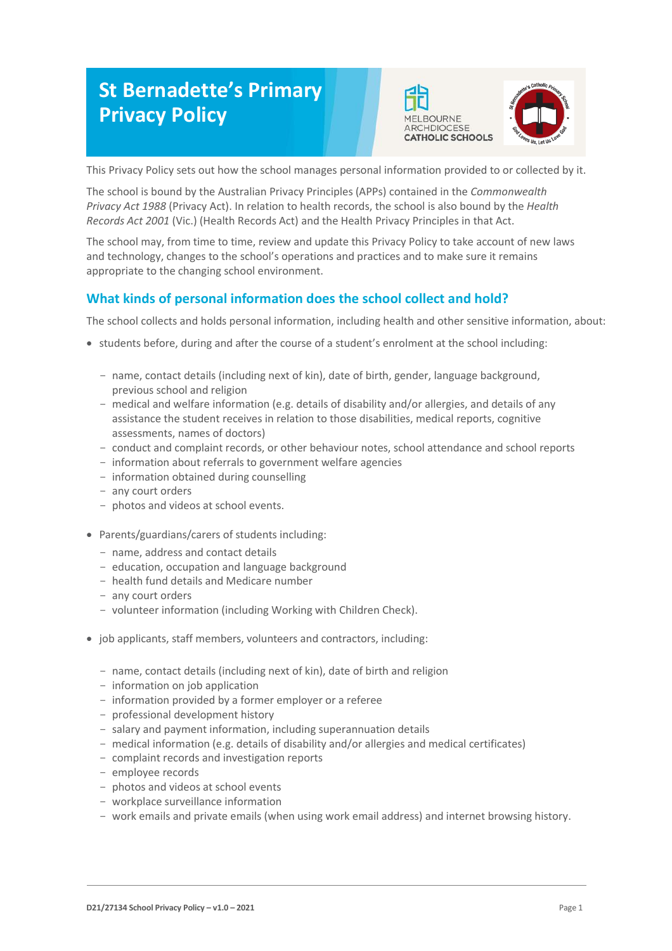# **St Bernadette's Primary Privacy Policy**





This Privacy Policy sets out how the school manages personal information provided to or collected by it.

The school is bound by the Australian Privacy Principles (APPs) contained in the *Commonwealth Privacy Act 1988* (Privacy Act). In relation to health records, the school is also bound by the *Health Records Act 2001* (Vic.) (Health Records Act) and the Health Privacy Principles in that Act.

The school may, from time to time, review and update this Privacy Policy to take account of new laws and technology, changes to the school's operations and practices and to make sure it remains appropriate to the changing school environment.

# **What kinds of personal information does the school collect and hold?**

The school collects and holds personal information, including health and other sensitive information, about:

- students before, during and after the course of a student's enrolment at the school including:
	- name, contact details (including next of kin), date of birth, gender, language background, previous school and religion
	- medical and welfare information (e.g. details of disability and/or allergies, and details of any assistance the student receives in relation to those disabilities, medical reports, cognitive assessments, names of doctors)
	- conduct and complaint records, or other behaviour notes, school attendance and school reports
	- information about referrals to government welfare agencies
	- information obtained during counselling
	- any court orders
	- photos and videos at school events.
- Parents/guardians/carers of students including:
	- name, address and contact details
	- education, occupation and language background
	- health fund details and Medicare number
	- any court orders
	- volunteer information (including Working with Children Check).
- job applicants, staff members, volunteers and contractors, including:
	- name, contact details (including next of kin), date of birth and religion
	- information on job application
	- information provided by a former employer or a referee
	- professional development history
	- salary and payment information, including superannuation details
	- medical information (e.g. details of disability and/or allergies and medical certificates)
	- complaint records and investigation reports
	- employee records
	- photos and videos at school events
	- workplace surveillance information
	- work emails and private emails (when using work email address) and internet browsing history.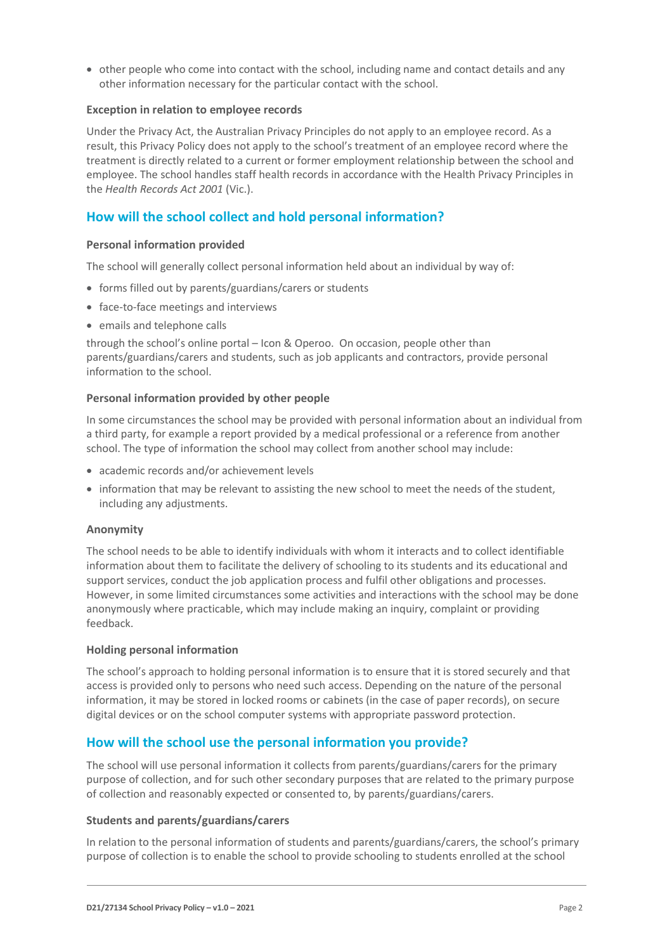• other people who come into contact with the school, including name and contact details and any other information necessary for the particular contact with the school.

# **Exception in relation to employee records**

Under the Privacy Act, the Australian Privacy Principles do not apply to an employee record. As a result, this Privacy Policy does not apply to the school's treatment of an employee record where the treatment is directly related to a current or former employment relationship between the school and employee. The school handles staff health records in accordance with the Health Privacy Principles in the *Health Records Act 2001* (Vic.).

# **How will the school collect and hold personal information?**

#### **Personal information provided**

The school will generally collect personal information held about an individual by way of:

- forms filled out by parents/guardians/carers or students
- face-to-face meetings and interviews
- emails and telephone calls

through the school's online portal – Icon & Operoo. On occasion, people other than parents/guardians/carers and students, such as job applicants and contractors, provide personal information to the school.

#### **Personal information provided by other people**

In some circumstances the school may be provided with personal information about an individual from a third party, for example a report provided by a medical professional or a reference from another school. The type of information the school may collect from another school may include:

- academic records and/or achievement levels
- information that may be relevant to assisting the new school to meet the needs of the student, including any adjustments.

#### **Anonymity**

The school needs to be able to identify individuals with whom it interacts and to collect identifiable information about them to facilitate the delivery of schooling to its students and its educational and support services, conduct the job application process and fulfil other obligations and processes. However, in some limited circumstances some activities and interactions with the school may be done anonymously where practicable, which may include making an inquiry, complaint or providing feedback.

# **Holding personal information**

The school's approach to holding personal information is to ensure that it is stored securely and that access is provided only to persons who need such access. Depending on the nature of the personal information, it may be stored in locked rooms or cabinets (in the case of paper records), on secure digital devices or on the school computer systems with appropriate password protection.

# **How will the school use the personal information you provide?**

The school will use personal information it collects from parents/guardians/carers for the primary purpose of collection, and for such other secondary purposes that are related to the primary purpose of collection and reasonably expected or consented to, by parents/guardians/carers.

# **Students and parents/guardians/carers**

In relation to the personal information of students and parents/guardians/carers, the school's primary purpose of collection is to enable the school to provide schooling to students enrolled at the school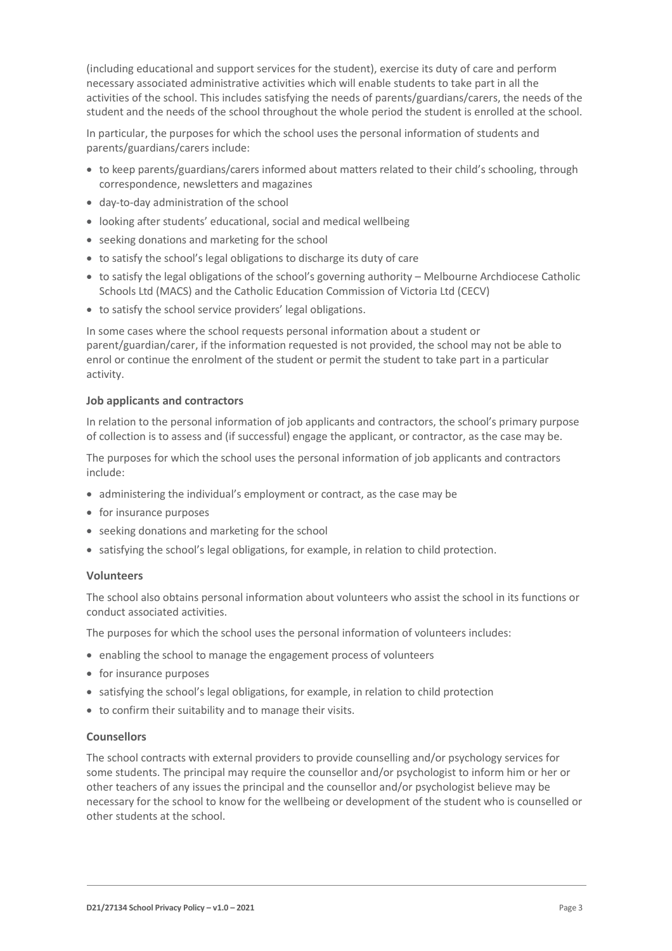(including educational and support services for the student), exercise its duty of care and perform necessary associated administrative activities which will enable students to take part in all the activities of the school. This includes satisfying the needs of parents/guardians/carers, the needs of the student and the needs of the school throughout the whole period the student is enrolled at the school.

In particular, the purposes for which the school uses the personal information of students and parents/guardians/carers include:

- to keep parents/guardians/carers informed about matters related to their child's schooling, through correspondence, newsletters and magazines
- day-to-day administration of the school
- looking after students' educational, social and medical wellbeing
- seeking donations and marketing for the school
- to satisfy the school's legal obligations to discharge its duty of care
- to satisfy the legal obligations of the school's governing authority Melbourne Archdiocese Catholic Schools Ltd (MACS) and the Catholic Education Commission of Victoria Ltd (CECV)
- to satisfy the school service providers' legal obligations.

In some cases where the school requests personal information about a student or parent/guardian/carer, if the information requested is not provided, the school may not be able to enrol or continue the enrolment of the student or permit the student to take part in a particular activity.

#### **Job applicants and contractors**

In relation to the personal information of job applicants and contractors, the school's primary purpose of collection is to assess and (if successful) engage the applicant, or contractor, as the case may be.

The purposes for which the school uses the personal information of job applicants and contractors include:

- administering the individual's employment or contract, as the case may be
- for insurance purposes
- seeking donations and marketing for the school
- satisfying the school's legal obligations, for example, in relation to child protection.

#### **Volunteers**

The school also obtains personal information about volunteers who assist the school in its functions or conduct associated activities.

The purposes for which the school uses the personal information of volunteers includes:

- enabling the school to manage the engagement process of volunteers
- for insurance purposes
- satisfying the school's legal obligations, for example, in relation to child protection
- to confirm their suitability and to manage their visits.

#### **Counsellors**

The school contracts with external providers to provide counselling and/or psychology services for some students. The principal may require the counsellor and/or psychologist to inform him or her or other teachers of any issues the principal and the counsellor and/or psychologist believe may be necessary for the school to know for the wellbeing or development of the student who is counselled or other students at the school.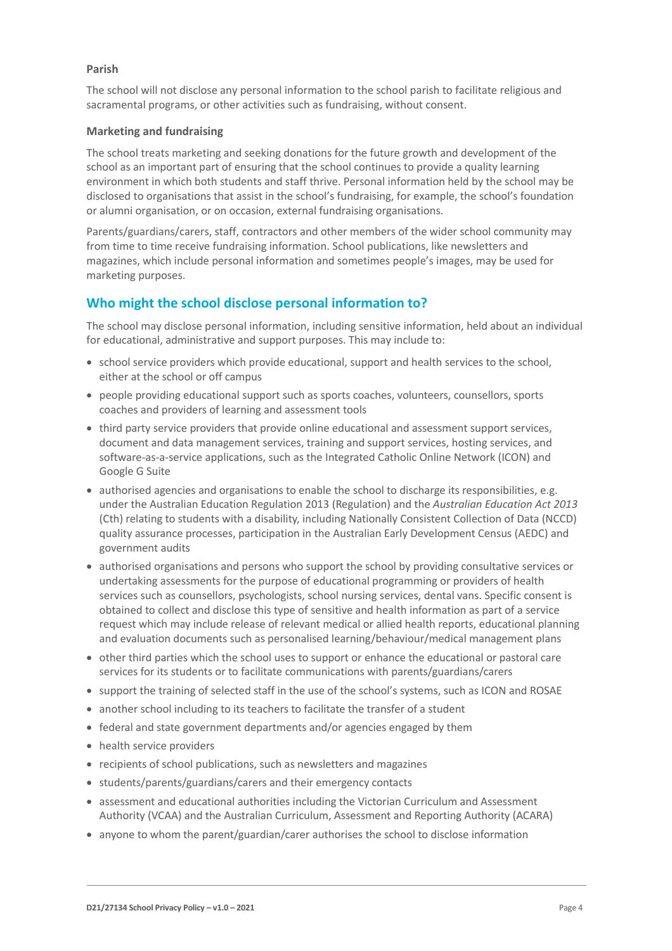### **Parish**

The school will not disclose any personal information to the school parish to facilitate religious and sacramental programs, or other activities such as fundraising, without consent.

#### **Marketing and fundraising**

The school treats marketing and seeking donations for the future growth and development of the school as an important part of ensuring that the school continues to provide a quality learning environment in which both students and staff thrive. Personal information held by the school may be disclosed to organisations that assist in the school's fundraising, for example, the school's foundation or alumni organisation, or on occasion, external fundraising organisations.

Parents/guardians/carers, staff, contractors and other members of the wider school community may from time to time receive fundraising information. School publications, like newsletters and magazines, which include personal information and sometimes people's images, may be used for marketing purposes.

# **Who might the school disclose personal information to?**

The school may disclose personal information, including sensitive information, held about an individual for educational, administrative and support purposes. This may include to:

- school service providers which provide educational, support and health services to the school, either at the school or off campus
- people providing educational support such as sports coaches, volunteers, counsellors, sports coaches and providers of learning and assessment tools
- third party service providers that provide online educational and assessment support services, document and data management services, training and support services, hosting services, and software-as-a-service applications, such as the Integrated Catholic Online Network (ICON) and Google G Suite
- authorised agencies and organisations to enable the school to discharge its responsibilities, e.g. under the Australian Education Regulation 2013 (Regulation) and the *Australian Education Act 2013* (Cth) relating to students with a disability, including Nationally Consistent Collection of Data (NCCD) quality assurance processes, participation in the Australian Early Development Census (AEDC) and government audits
- authorised organisations and persons who support the school by providing consultative services or undertaking assessments for the purpose of educational programming or providers of health services such as counsellors, psychologists, school nursing services, dental vans. Specific consent is obtained to collect and disclose this type of sensitive and health information as part of a service request which may include release of relevant medical or allied health reports, educational planning and evaluation documents such as personalised learning/behaviour/medical management plans
- other third parties which the school uses to support or enhance the educational or pastoral care services for its students or to facilitate communications with parents/guardians/carers
- support the training of selected staff in the use of the school's systems, such as ICON and ROSAE
- another school including to its teachers to facilitate the transfer of a student
- federal and state government departments and/or agencies engaged by them
- health service providers
- recipients of school publications, such as newsletters and magazines
- students/parents/guardians/carers and their emergency contacts
- assessment and educational authorities including the Victorian Curriculum and Assessment Authority (VCAA) and the Australian Curriculum, Assessment and Reporting Authority (ACARA)
- anyone to whom the parent/guardian/carer authorises the school to disclose information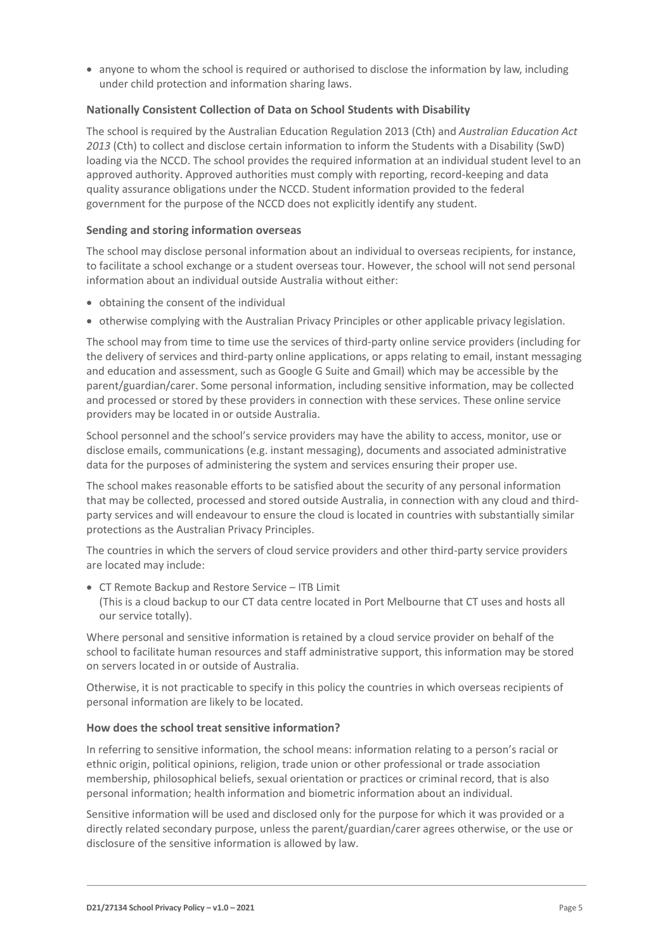anyone to whom the school is required or authorised to disclose the information by law, including under child protection and information sharing laws.

# **Nationally Consistent Collection of Data on School Students with Disability**

The school is required by the Australian Education Regulation 2013 (Cth) and *Australian Education Act 2013* (Cth) to collect and disclose certain information to inform the Students with a Disability (SwD) loading via the NCCD. The school provides the required information at an individual student level to an approved authority. Approved authorities must comply with reporting, record-keeping and data quality assurance obligations under the NCCD. Student information provided to the federal government for the purpose of the NCCD does not explicitly identify any student.

# **Sending and storing information overseas**

The school may disclose personal information about an individual to overseas recipients, for instance, to facilitate a school exchange or a student overseas tour. However, the school will not send personal information about an individual outside Australia without either:

- obtaining the consent of the individual
- otherwise complying with the Australian Privacy Principles or other applicable privacy legislation.

The school may from time to time use the services of third-party online service providers (including for the delivery of services and third-party online applications, or apps relating to email, instant messaging and education and assessment, such as Google G Suite and Gmail) which may be accessible by the parent/guardian/carer. Some personal information, including sensitive information, may be collected and processed or stored by these providers in connection with these services. These online service providers may be located in or outside Australia.

School personnel and the school's service providers may have the ability to access, monitor, use or disclose emails, communications (e.g. instant messaging), documents and associated administrative data for the purposes of administering the system and services ensuring their proper use.

The school makes reasonable efforts to be satisfied about the security of any personal information that may be collected, processed and stored outside Australia, in connection with any cloud and thirdparty services and will endeavour to ensure the cloud is located in countries with substantially similar protections as the Australian Privacy Principles.

The countries in which the servers of cloud service providers and other third-party service providers are located may include:

 CT Remote Backup and Restore Service – ITB Limit (This is a cloud backup to our CT data centre located in Port Melbourne that CT uses and hosts all our service totally).

Where personal and sensitive information is retained by a cloud service provider on behalf of the school to facilitate human resources and staff administrative support, this information may be stored on servers located in or outside of Australia.

Otherwise, it is not practicable to specify in this policy the countries in which overseas recipients of personal information are likely to be located.

# **How does the school treat sensitive information?**

In referring to sensitive information, the school means: information relating to a person's racial or ethnic origin, political opinions, religion, trade union or other professional or trade association membership, philosophical beliefs, sexual orientation or practices or criminal record, that is also personal information; health information and biometric information about an individual.

Sensitive information will be used and disclosed only for the purpose for which it was provided or a directly related secondary purpose, unless the parent/guardian/carer agrees otherwise, or the use or disclosure of the sensitive information is allowed by law.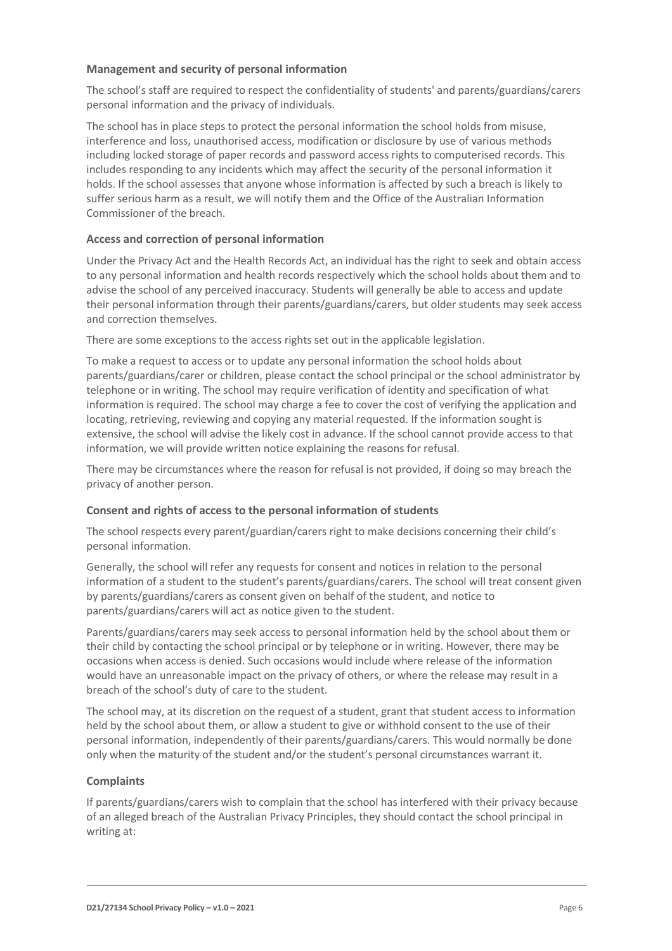## **Management and security of personal information**

The school's staff are required to respect the confidentiality of students' and parents/guardians/carers personal information and the privacy of individuals.

The school has in place steps to protect the personal information the school holds from misuse, interference and loss, unauthorised access, modification or disclosure by use of various methods including locked storage of paper records and password access rights to computerised records. This includes responding to any incidents which may affect the security of the personal information it holds. If the school assesses that anyone whose information is affected by such a breach is likely to suffer serious harm as a result, we will notify them and the Office of the Australian Information Commissioner of the breach.

#### **Access and correction of personal information**

Under the Privacy Act and the Health Records Act, an individual has the right to seek and obtain access to any personal information and health records respectively which the school holds about them and to advise the school of any perceived inaccuracy. Students will generally be able to access and update their personal information through their parents/guardians/carers, but older students may seek access and correction themselves.

There are some exceptions to the access rights set out in the applicable legislation.

To make a request to access or to update any personal information the school holds about parents/guardians/carer or children, please contact the school principal or the school administrator by telephone or in writing. The school may require verification of identity and specification of what information is required. The school may charge a fee to cover the cost of verifying the application and locating, retrieving, reviewing and copying any material requested. If the information sought is extensive, the school will advise the likely cost in advance. If the school cannot provide access to that information, we will provide written notice explaining the reasons for refusal.

There may be circumstances where the reason for refusal is not provided, if doing so may breach the privacy of another person.

# **Consent and rights of access to the personal information of students**

The school respects every parent/guardian/carers right to make decisions concerning their child's personal information.

Generally, the school will refer any requests for consent and notices in relation to the personal information of a student to the student's parents/guardians/carers. The school will treat consent given by parents/guardians/carers as consent given on behalf of the student, and notice to parents/guardians/carers will act as notice given to the student.

Parents/guardians/carers may seek access to personal information held by the school about them or their child by contacting the school principal or by telephone or in writing. However, there may be occasions when access is denied. Such occasions would include where release of the information would have an unreasonable impact on the privacy of others, or where the release may result in a breach of the school's duty of care to the student.

The school may, at its discretion on the request of a student, grant that student access to information held by the school about them, or allow a student to give or withhold consent to the use of their personal information, independently of their parents/guardians/carers. This would normally be done only when the maturity of the student and/or the student's personal circumstances warrant it.

# **Complaints**

If parents/guardians/carers wish to complain that the school has interfered with their privacy because of an alleged breach of the Australian Privacy Principles, they should contact the school principal in writing at: